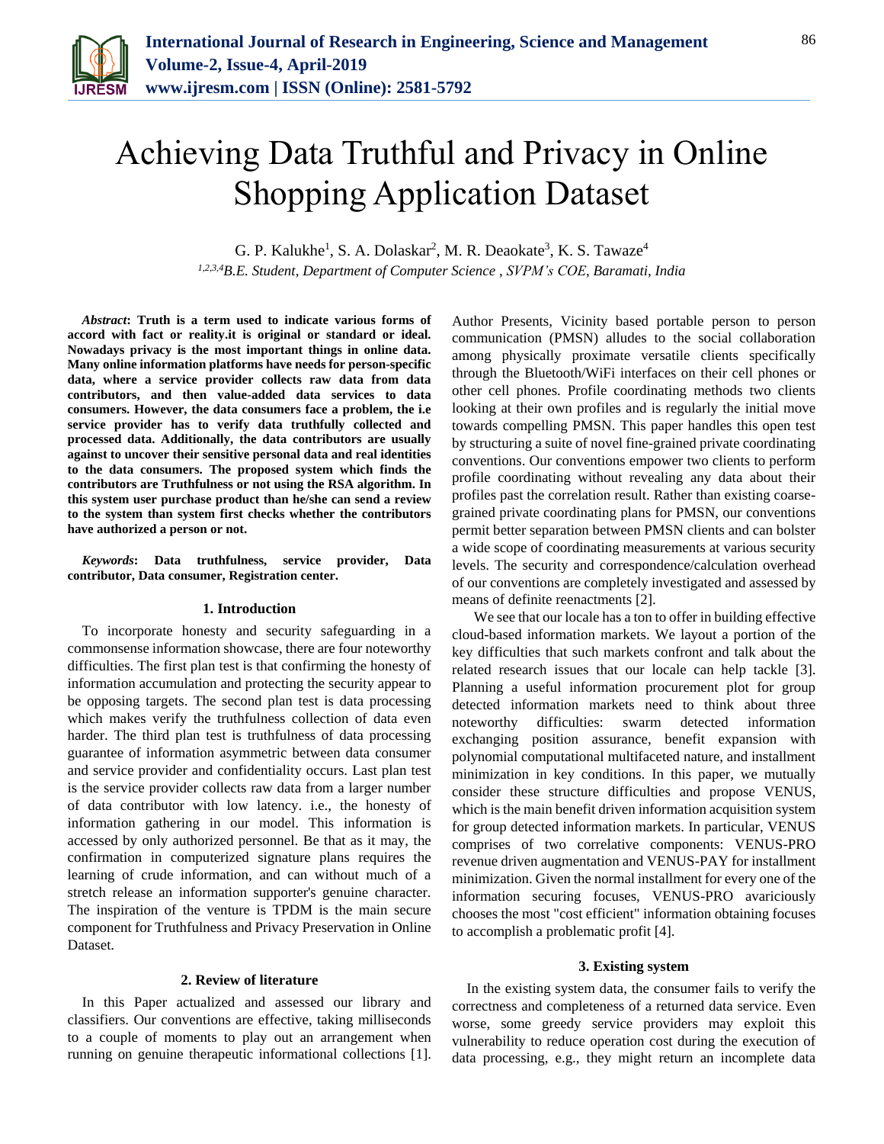

# Achieving Data Truthful and Privacy in Online Shopping Application Dataset

G. P. Kalukhe<sup>1</sup>, S. A. Dolaskar<sup>2</sup>, M. R. Deaokate<sup>3</sup>, K. S. Tawaze<sup>4</sup>

*1,2,3,4B.E. Student, Department of Computer Science , SVPM's COE, Baramati, India*

*Abstract***: Truth is a term used to indicate various forms of accord with fact or reality.it is original or standard or ideal. Nowadays privacy is the most important things in online data. Many online information platforms have needs for person-specific data, where a service provider collects raw data from data contributors, and then value-added data services to data consumers. However, the data consumers face a problem, the i.e service provider has to verify data truthfully collected and processed data. Additionally, the data contributors are usually against to uncover their sensitive personal data and real identities to the data consumers. The proposed system which finds the contributors are Truthfulness or not using the RSA algorithm. In this system user purchase product than he/she can send a review to the system than system first checks whether the contributors have authorized a person or not.**

*Keywords***: Data truthfulness, service provider, Data contributor, Data consumer, Registration center.**

#### **1. Introduction**

To incorporate honesty and security safeguarding in a commonsense information showcase, there are four noteworthy difficulties. The first plan test is that confirming the honesty of information accumulation and protecting the security appear to be opposing targets. The second plan test is data processing which makes verify the truthfulness collection of data even harder. The third plan test is truthfulness of data processing guarantee of information asymmetric between data consumer and service provider and confidentiality occurs. Last plan test is the service provider collects raw data from a larger number of data contributor with low latency. i.e., the honesty of information gathering in our model. This information is accessed by only authorized personnel. Be that as it may, the confirmation in computerized signature plans requires the learning of crude information, and can without much of a stretch release an information supporter's genuine character. The inspiration of the venture is TPDM is the main secure component for Truthfulness and Privacy Preservation in Online Dataset.

## **2. Review of literature**

In this Paper actualized and assessed our library and classifiers. Our conventions are effective, taking milliseconds to a couple of moments to play out an arrangement when running on genuine therapeutic informational collections [1]. Author Presents, Vicinity based portable person to person communication (PMSN) alludes to the social collaboration among physically proximate versatile clients specifically through the Bluetooth/WiFi interfaces on their cell phones or other cell phones. Profile coordinating methods two clients looking at their own profiles and is regularly the initial move towards compelling PMSN. This paper handles this open test by structuring a suite of novel fine-grained private coordinating conventions. Our conventions empower two clients to perform profile coordinating without revealing any data about their profiles past the correlation result. Rather than existing coarsegrained private coordinating plans for PMSN, our conventions permit better separation between PMSN clients and can bolster a wide scope of coordinating measurements at various security levels. The security and correspondence/calculation overhead of our conventions are completely investigated and assessed by means of definite reenactments [2].

 We see that our locale has a ton to offer in building effective cloud-based information markets. We layout a portion of the key difficulties that such markets confront and talk about the related research issues that our locale can help tackle [3]. Planning a useful information procurement plot for group detected information markets need to think about three noteworthy difficulties: swarm detected information exchanging position assurance, benefit expansion with polynomial computational multifaceted nature, and installment minimization in key conditions. In this paper, we mutually consider these structure difficulties and propose VENUS, which is the main benefit driven information acquisition system for group detected information markets. In particular, VENUS comprises of two correlative components: VENUS-PRO revenue driven augmentation and VENUS-PAY for installment minimization. Given the normal installment for every one of the information securing focuses, VENUS-PRO avariciously chooses the most "cost efficient" information obtaining focuses to accomplish a problematic profit [4].

#### **3. Existing system**

In the existing system data, the consumer fails to verify the correctness and completeness of a returned data service. Even worse, some greedy service providers may exploit this vulnerability to reduce operation cost during the execution of data processing, e.g., they might return an incomplete data